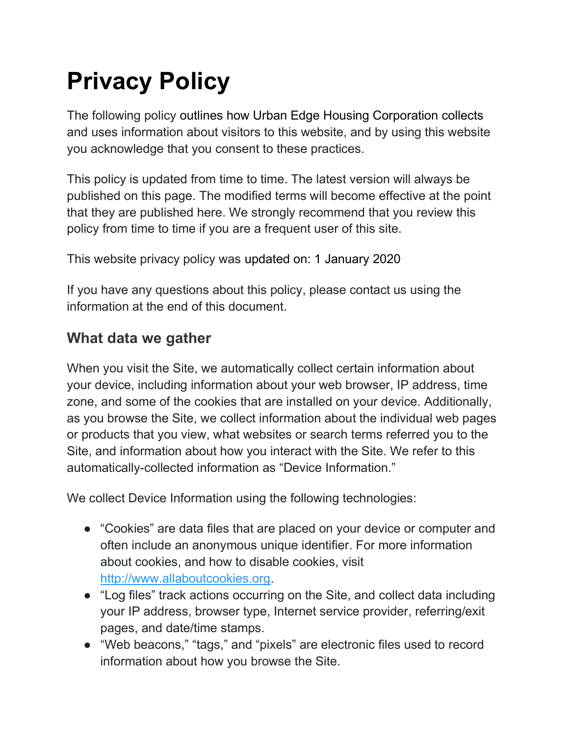# Privacy Policy

The following policy outlines how Urban Edge Housing Corporation collects and uses information about visitors to this website, and by using this website you acknowledge that you consent to these practices.

This policy is updated from time to time. The latest version will always be published on this page. The modified terms will become effective at the point that they are published here. We strongly recommend that you review this policy from time to time if you are a frequent user of this site.

This website privacy policy was updated on: 1 January 2020

If you have any questions about this policy, please contact us using the information at the end of this document.

## What data we gather

When you visit the Site, we automatically collect certain information about your device, including information about your web browser, IP address, time zone, and some of the cookies that are installed on your device. Additionally, as you browse the Site, we collect information about the individual web pages or products that you view, what websites or search terms referred you to the Site, and information about how you interact with the Site. We refer to this automatically-collected information as "Device Information."

We collect Device Information using the following technologies:

- "Cookies" are data files that are placed on your device or computer and often include an anonymous unique identifier. For more information about cookies, and how to disable cookies, visit http://www.allaboutcookies.org.
- "Log files" track actions occurring on the Site, and collect data including your IP address, browser type, Internet service provider, referring/exit pages, and date/time stamps.
- "Web beacons," "tags," and "pixels" are electronic files used to record information about how you browse the Site.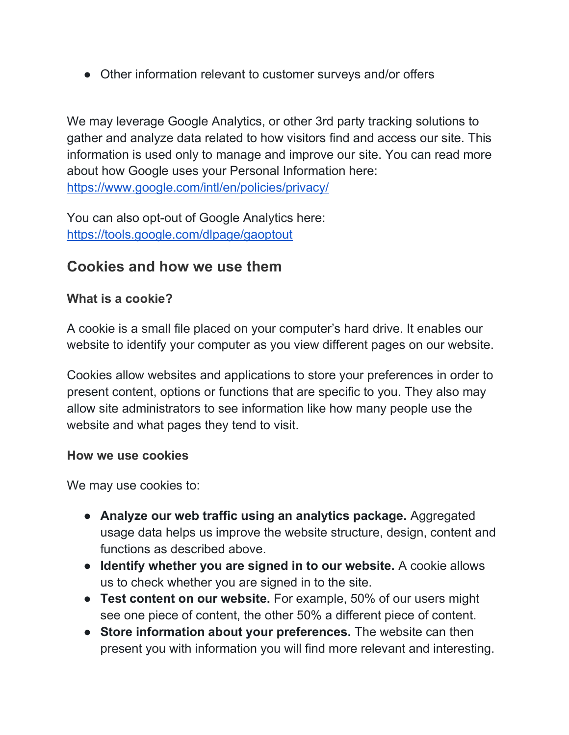• Other information relevant to customer surveys and/or offers

We may leverage Google Analytics, or other 3rd party tracking solutions to gather and analyze data related to how visitors find and access our site. This information is used only to manage and improve our site. You can read more about how Google uses your Personal Information here: https://www.google.com/intl/en/policies/privacy/

You can also opt-out of Google Analytics here: https://tools.google.com/dlpage/gaoptout

### Cookies and how we use them

#### What is a cookie?

A cookie is a small file placed on your computer's hard drive. It enables our website to identify your computer as you view different pages on our website.

Cookies allow websites and applications to store your preferences in order to present content, options or functions that are specific to you. They also may allow site administrators to see information like how many people use the website and what pages they tend to visit.

#### How we use cookies

We may use cookies to:

- Analyze our web traffic using an analytics package. Aggregated usage data helps us improve the website structure, design, content and functions as described above.
- Identify whether you are signed in to our website. A cookie allows us to check whether you are signed in to the site.
- Test content on our website. For example, 50% of our users might see one piece of content, the other 50% a different piece of content.
- Store information about your preferences. The website can then present you with information you will find more relevant and interesting.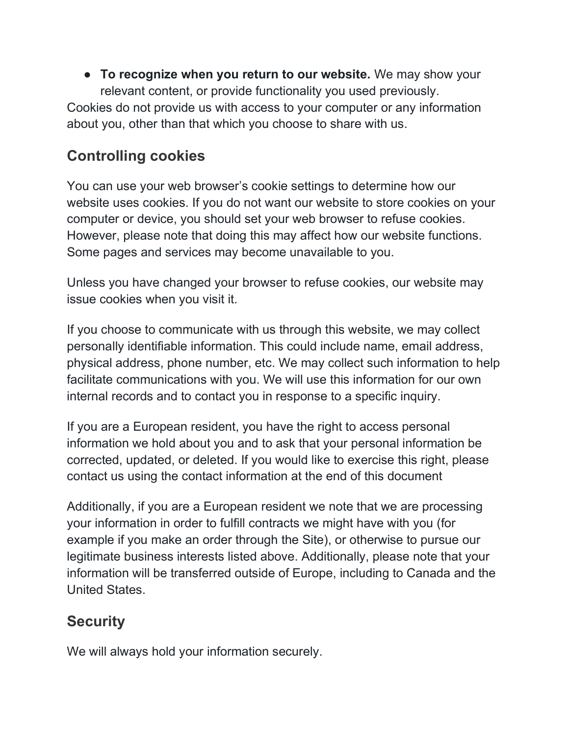• To recognize when you return to our website. We may show your relevant content, or provide functionality you used previously. Cookies do not provide us with access to your computer or any information about you, other than that which you choose to share with us.

## Controlling cookies

You can use your web browser's cookie settings to determine how our website uses cookies. If you do not want our website to store cookies on your computer or device, you should set your web browser to refuse cookies. However, please note that doing this may affect how our website functions. Some pages and services may become unavailable to you.

Unless you have changed your browser to refuse cookies, our website may issue cookies when you visit it.

If you choose to communicate with us through this website, we may collect personally identifiable information. This could include name, email address, physical address, phone number, etc. We may collect such information to help facilitate communications with you. We will use this information for our own internal records and to contact you in response to a specific inquiry.

If you are a European resident, you have the right to access personal information we hold about you and to ask that your personal information be corrected, updated, or deleted. If you would like to exercise this right, please contact us using the contact information at the end of this document

Additionally, if you are a European resident we note that we are processing your information in order to fulfill contracts we might have with you (for example if you make an order through the Site), or otherwise to pursue our legitimate business interests listed above. Additionally, please note that your information will be transferred outside of Europe, including to Canada and the United States.

## **Security**

We will always hold your information securely.